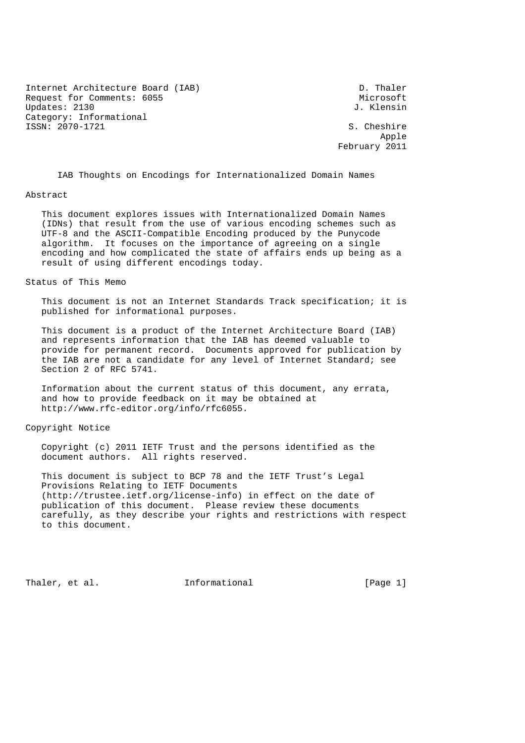Internet Architecture Board (IAB) D. Thaler Request for Comments: 6055 Microsoft Microsoft Microsoft Microsoft Microsoft Microsoft Microsoft Microsoft Microsoft Microsoft Microsoft Microsoft Microsoft Microsoft Microsoft Microsoft Microsoft Microsoft Microsoft Micro Updates: 2130 Category: Informational ISSN: 2070-1721 S. Cheshire

Apple

February 2011

IAB Thoughts on Encodings for Internationalized Domain Names

#### Abstract

 This document explores issues with Internationalized Domain Names (IDNs) that result from the use of various encoding schemes such as UTF-8 and the ASCII-Compatible Encoding produced by the Punycode algorithm. It focuses on the importance of agreeing on a single encoding and how complicated the state of affairs ends up being as a result of using different encodings today.

## Status of This Memo

 This document is not an Internet Standards Track specification; it is published for informational purposes.

 This document is a product of the Internet Architecture Board (IAB) and represents information that the IAB has deemed valuable to provide for permanent record. Documents approved for publication by the IAB are not a candidate for any level of Internet Standard; see Section 2 of RFC 5741.

 Information about the current status of this document, any errata, and how to provide feedback on it may be obtained at http://www.rfc-editor.org/info/rfc6055.

## Copyright Notice

 Copyright (c) 2011 IETF Trust and the persons identified as the document authors. All rights reserved.

 This document is subject to BCP 78 and the IETF Trust's Legal Provisions Relating to IETF Documents (http://trustee.ietf.org/license-info) in effect on the date of publication of this document. Please review these documents carefully, as they describe your rights and restrictions with respect to this document.

Thaler, et al. Informational [Page 1]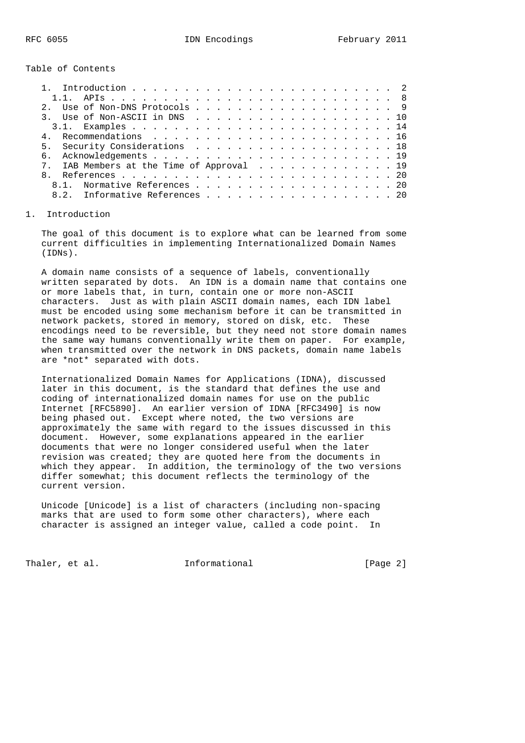Table of Contents

| 3. Use of Non-ASCII in DNS 10             |  |
|-------------------------------------------|--|
|                                           |  |
|                                           |  |
| 5. Security Considerations 18             |  |
|                                           |  |
| 7. IAB Members at the Time of Approval 19 |  |
|                                           |  |
| 8.1. Normative References 20              |  |
| 8.2. Informative References 20            |  |
|                                           |  |

#### 1. Introduction

 The goal of this document is to explore what can be learned from some current difficulties in implementing Internationalized Domain Names (IDNs).

 A domain name consists of a sequence of labels, conventionally written separated by dots. An IDN is a domain name that contains one or more labels that, in turn, contain one or more non-ASCII characters. Just as with plain ASCII domain names, each IDN label must be encoded using some mechanism before it can be transmitted in network packets, stored in memory, stored on disk, etc. These encodings need to be reversible, but they need not store domain names the same way humans conventionally write them on paper. For example, when transmitted over the network in DNS packets, domain name labels are \*not\* separated with dots.

 Internationalized Domain Names for Applications (IDNA), discussed later in this document, is the standard that defines the use and coding of internationalized domain names for use on the public Internet [RFC5890]. An earlier version of IDNA [RFC3490] is now being phased out. Except where noted, the two versions are approximately the same with regard to the issues discussed in this document. However, some explanations appeared in the earlier documents that were no longer considered useful when the later revision was created; they are quoted here from the documents in which they appear. In addition, the terminology of the two versions differ somewhat; this document reflects the terminology of the current version.

 Unicode [Unicode] is a list of characters (including non-spacing marks that are used to form some other characters), where each character is assigned an integer value, called a code point. In

Thaler, et al. 1nformational 1999 [Page 2]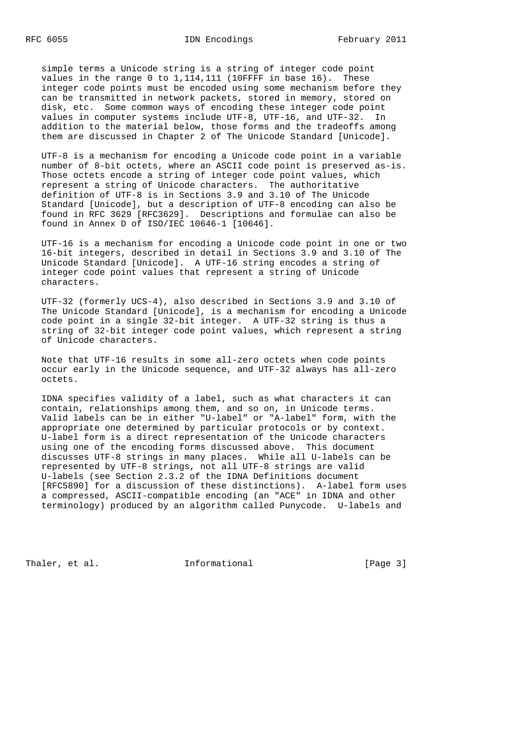simple terms a Unicode string is a string of integer code point values in the range 0 to 1,114,111 (10FFFF in base 16). These integer code points must be encoded using some mechanism before they can be transmitted in network packets, stored in memory, stored on disk, etc. Some common ways of encoding these integer code point values in computer systems include UTF-8, UTF-16, and UTF-32. In addition to the material below, those forms and the tradeoffs among them are discussed in Chapter 2 of The Unicode Standard [Unicode].

 UTF-8 is a mechanism for encoding a Unicode code point in a variable number of 8-bit octets, where an ASCII code point is preserved as-is. Those octets encode a string of integer code point values, which represent a string of Unicode characters. The authoritative definition of UTF-8 is in Sections 3.9 and 3.10 of The Unicode Standard [Unicode], but a description of UTF-8 encoding can also be found in RFC 3629 [RFC3629]. Descriptions and formulae can also be found in Annex D of ISO/IEC 10646-1 [10646].

 UTF-16 is a mechanism for encoding a Unicode code point in one or two 16-bit integers, described in detail in Sections 3.9 and 3.10 of The Unicode Standard [Unicode]. A UTF-16 string encodes a string of integer code point values that represent a string of Unicode characters.

 UTF-32 (formerly UCS-4), also described in Sections 3.9 and 3.10 of The Unicode Standard [Unicode], is a mechanism for encoding a Unicode code point in a single 32-bit integer. A UTF-32 string is thus a string of 32-bit integer code point values, which represent a string of Unicode characters.

 Note that UTF-16 results in some all-zero octets when code points occur early in the Unicode sequence, and UTF-32 always has all-zero octets.

 IDNA specifies validity of a label, such as what characters it can contain, relationships among them, and so on, in Unicode terms. Valid labels can be in either "U-label" or "A-label" form, with the appropriate one determined by particular protocols or by context. U-label form is a direct representation of the Unicode characters using one of the encoding forms discussed above. This document discusses UTF-8 strings in many places. While all U-labels can be represented by UTF-8 strings, not all UTF-8 strings are valid U-labels (see Section 2.3.2 of the IDNA Definitions document [RFC5890] for a discussion of these distinctions). A-label form uses a compressed, ASCII-compatible encoding (an "ACE" in IDNA and other terminology) produced by an algorithm called Punycode. U-labels and

Thaler, et al. The Informational Thaler, et al.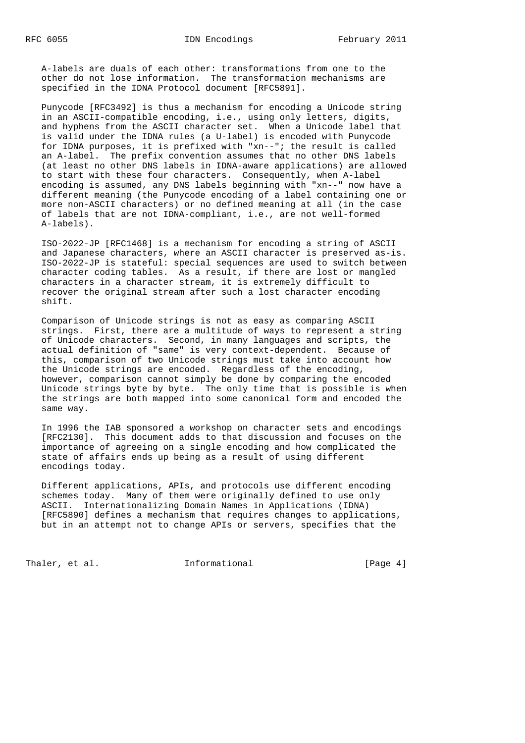A-labels are duals of each other: transformations from one to the other do not lose information. The transformation mechanisms are specified in the IDNA Protocol document [RFC5891].

 Punycode [RFC3492] is thus a mechanism for encoding a Unicode string in an ASCII-compatible encoding, i.e., using only letters, digits, and hyphens from the ASCII character set. When a Unicode label that is valid under the IDNA rules (a U-label) is encoded with Punycode for IDNA purposes, it is prefixed with "xn--"; the result is called an A-label. The prefix convention assumes that no other DNS labels (at least no other DNS labels in IDNA-aware applications) are allowed to start with these four characters. Consequently, when A-label encoding is assumed, any DNS labels beginning with "xn--" now have a different meaning (the Punycode encoding of a label containing one or more non-ASCII characters) or no defined meaning at all (in the case of labels that are not IDNA-compliant, i.e., are not well-formed A-labels).

 ISO-2022-JP [RFC1468] is a mechanism for encoding a string of ASCII and Japanese characters, where an ASCII character is preserved as-is. ISO-2022-JP is stateful: special sequences are used to switch between character coding tables. As a result, if there are lost or mangled characters in a character stream, it is extremely difficult to recover the original stream after such a lost character encoding shift.

 Comparison of Unicode strings is not as easy as comparing ASCII strings. First, there are a multitude of ways to represent a string of Unicode characters. Second, in many languages and scripts, the actual definition of "same" is very context-dependent. Because of this, comparison of two Unicode strings must take into account how the Unicode strings are encoded. Regardless of the encoding, however, comparison cannot simply be done by comparing the encoded Unicode strings byte by byte. The only time that is possible is when the strings are both mapped into some canonical form and encoded the same way.

 In 1996 the IAB sponsored a workshop on character sets and encodings [RFC2130]. This document adds to that discussion and focuses on the importance of agreeing on a single encoding and how complicated the state of affairs ends up being as a result of using different encodings today.

 Different applications, APIs, and protocols use different encoding schemes today. Many of them were originally defined to use only ASCII. Internationalizing Domain Names in Applications (IDNA) [RFC5890] defines a mechanism that requires changes to applications, but in an attempt not to change APIs or servers, specifies that the

Thaler, et al. 1nformational [Page 4]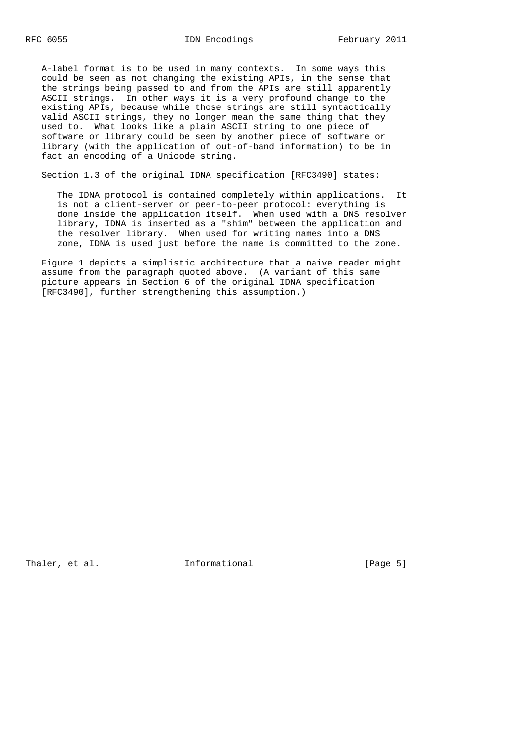A-label format is to be used in many contexts. In some ways this could be seen as not changing the existing APIs, in the sense that the strings being passed to and from the APIs are still apparently ASCII strings. In other ways it is a very profound change to the existing APIs, because while those strings are still syntactically valid ASCII strings, they no longer mean the same thing that they used to. What looks like a plain ASCII string to one piece of software or library could be seen by another piece of software or library (with the application of out-of-band information) to be in fact an encoding of a Unicode string.

Section 1.3 of the original IDNA specification [RFC3490] states:

 The IDNA protocol is contained completely within applications. It is not a client-server or peer-to-peer protocol: everything is done inside the application itself. When used with a DNS resolver library, IDNA is inserted as a "shim" between the application and the resolver library. When used for writing names into a DNS zone, IDNA is used just before the name is committed to the zone.

 Figure 1 depicts a simplistic architecture that a naive reader might assume from the paragraph quoted above. (A variant of this same picture appears in Section 6 of the original IDNA specification [RFC3490], further strengthening this assumption.)

Thaler, et al. The Informational (Page 5)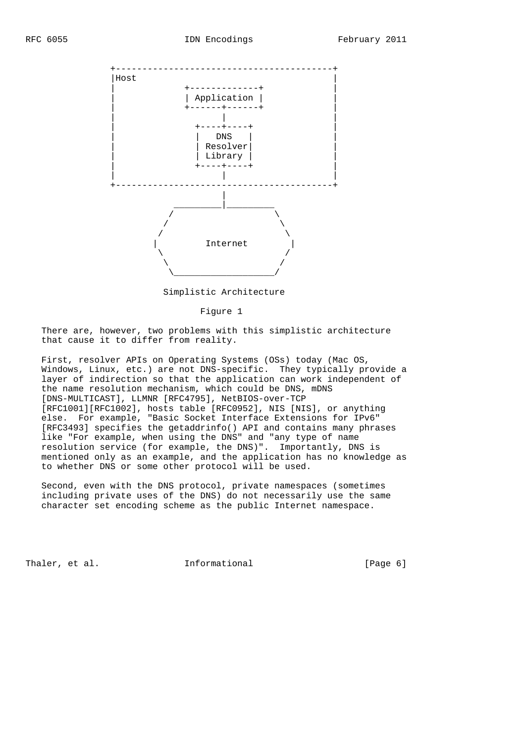

Simplistic Architecture

#### Figure 1

 There are, however, two problems with this simplistic architecture that cause it to differ from reality.

 First, resolver APIs on Operating Systems (OSs) today (Mac OS, Windows, Linux, etc.) are not DNS-specific. They typically provide a layer of indirection so that the application can work independent of the name resolution mechanism, which could be DNS, mDNS [DNS-MULTICAST], LLMNR [RFC4795], NetBIOS-over-TCP [RFC1001][RFC1002], hosts table [RFC0952], NIS [NIS], or anything else. For example, "Basic Socket Interface Extensions for IPv6" [RFC3493] specifies the getaddrinfo() API and contains many phrases like "For example, when using the DNS" and "any type of name resolution service (for example, the DNS)". Importantly, DNS is mentioned only as an example, and the application has no knowledge as to whether DNS or some other protocol will be used.

 Second, even with the DNS protocol, private namespaces (sometimes including private uses of the DNS) do not necessarily use the same character set encoding scheme as the public Internet namespace.

Thaler, et al. The Informational (Page 6)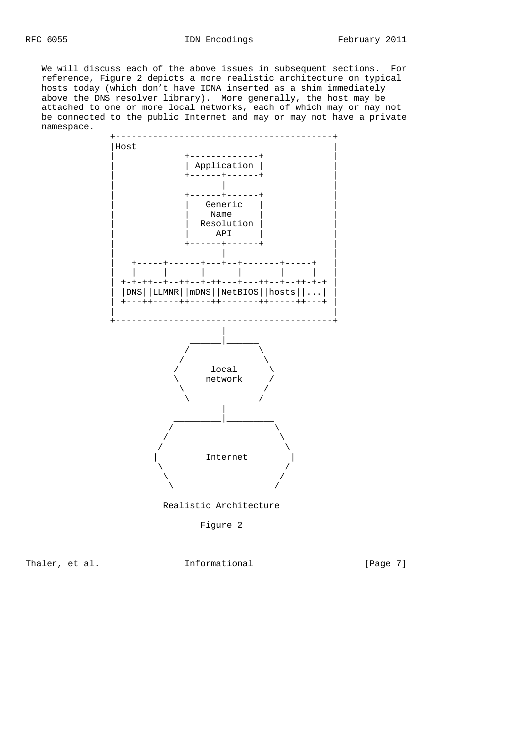We will discuss each of the above issues in subsequent sections. For reference, Figure 2 depicts a more realistic architecture on typical hosts today (which don't have IDNA inserted as a shim immediately above the DNS resolver library). More generally, the host may be attached to one or more local networks, each of which may or may not be connected to the public Internet and may or may not have a private namespace.



Realistic Architecture

Figure 2

Thaler, et al. 1nformational [Page 7]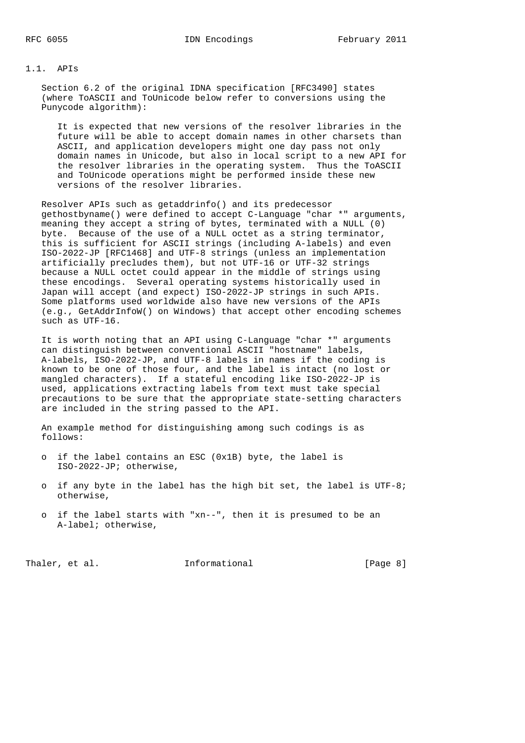### 1.1. APIs

 Section 6.2 of the original IDNA specification [RFC3490] states (where ToASCII and ToUnicode below refer to conversions using the Punycode algorithm):

 It is expected that new versions of the resolver libraries in the future will be able to accept domain names in other charsets than ASCII, and application developers might one day pass not only domain names in Unicode, but also in local script to a new API for the resolver libraries in the operating system. Thus the ToASCII and ToUnicode operations might be performed inside these new versions of the resolver libraries.

 Resolver APIs such as getaddrinfo() and its predecessor gethostbyname() were defined to accept C-Language "char \*" arguments, meaning they accept a string of bytes, terminated with a NULL (0) byte. Because of the use of a NULL octet as a string terminator, this is sufficient for ASCII strings (including A-labels) and even ISO-2022-JP [RFC1468] and UTF-8 strings (unless an implementation artificially precludes them), but not UTF-16 or UTF-32 strings because a NULL octet could appear in the middle of strings using these encodings. Several operating systems historically used in Japan will accept (and expect) ISO-2022-JP strings in such APIs. Some platforms used worldwide also have new versions of the APIs (e.g., GetAddrInfoW() on Windows) that accept other encoding schemes such as UTF-16.

 It is worth noting that an API using C-Language "char \*" arguments can distinguish between conventional ASCII "hostname" labels, A-labels, ISO-2022-JP, and UTF-8 labels in names if the coding is known to be one of those four, and the label is intact (no lost or mangled characters). If a stateful encoding like ISO-2022-JP is used, applications extracting labels from text must take special precautions to be sure that the appropriate state-setting characters are included in the string passed to the API.

 An example method for distinguishing among such codings is as follows:

- o if the label contains an ESC (0x1B) byte, the label is ISO-2022-JP; otherwise,
- o if any byte in the label has the high bit set, the label is UTF-8; otherwise,
- o if the label starts with "xn--", then it is presumed to be an A-label; otherwise,

Thaler, et al. 1nformational 1999 [Page 8]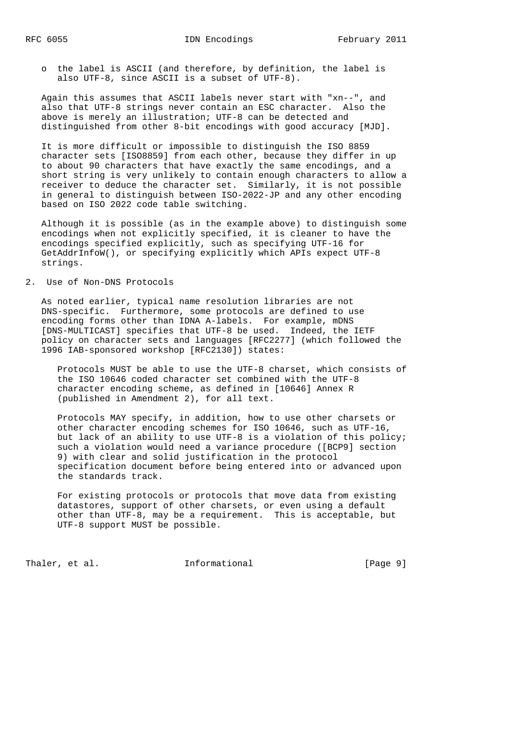o the label is ASCII (and therefore, by definition, the label is also UTF-8, since ASCII is a subset of UTF-8).

 Again this assumes that ASCII labels never start with "xn--", and also that UTF-8 strings never contain an ESC character. Also the above is merely an illustration; UTF-8 can be detected and distinguished from other 8-bit encodings with good accuracy [MJD].

 It is more difficult or impossible to distinguish the ISO 8859 character sets [ISO8859] from each other, because they differ in up to about 90 characters that have exactly the same encodings, and a short string is very unlikely to contain enough characters to allow a receiver to deduce the character set. Similarly, it is not possible in general to distinguish between ISO-2022-JP and any other encoding based on ISO 2022 code table switching.

 Although it is possible (as in the example above) to distinguish some encodings when not explicitly specified, it is cleaner to have the encodings specified explicitly, such as specifying UTF-16 for GetAddrInfoW(), or specifying explicitly which APIs expect UTF-8 strings.

## 2. Use of Non-DNS Protocols

 As noted earlier, typical name resolution libraries are not DNS-specific. Furthermore, some protocols are defined to use encoding forms other than IDNA A-labels. For example, mDNS [DNS-MULTICAST] specifies that UTF-8 be used. Indeed, the IETF policy on character sets and languages [RFC2277] (which followed the 1996 IAB-sponsored workshop [RFC2130]) states:

 Protocols MUST be able to use the UTF-8 charset, which consists of the ISO 10646 coded character set combined with the UTF-8 character encoding scheme, as defined in [10646] Annex R (published in Amendment 2), for all text.

 Protocols MAY specify, in addition, how to use other charsets or other character encoding schemes for ISO 10646, such as UTF-16, but lack of an ability to use UTF-8 is a violation of this policy; such a violation would need a variance procedure ([BCP9] section 9) with clear and solid justification in the protocol specification document before being entered into or advanced upon the standards track.

 For existing protocols or protocols that move data from existing datastores, support of other charsets, or even using a default other than UTF-8, may be a requirement. This is acceptable, but UTF-8 support MUST be possible.

Thaler, et al.  $\qquad \qquad$  Informational  $[Page 9]$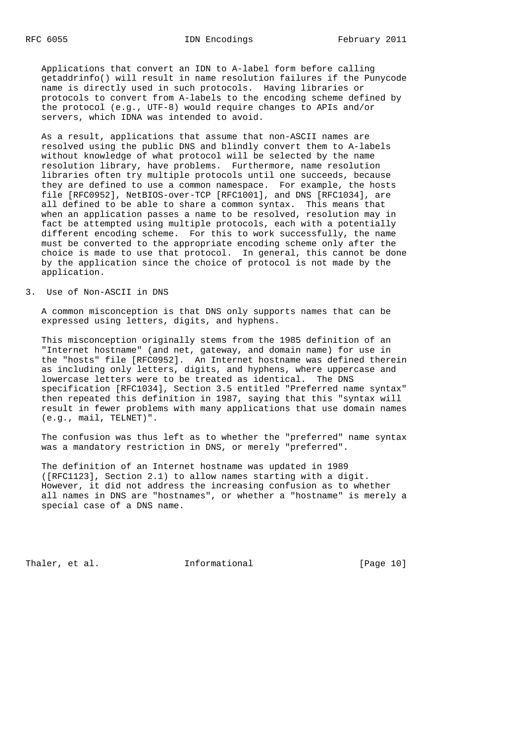Applications that convert an IDN to A-label form before calling getaddrinfo() will result in name resolution failures if the Punycode name is directly used in such protocols. Having libraries or protocols to convert from A-labels to the encoding scheme defined by the protocol (e.g., UTF-8) would require changes to APIs and/or servers, which IDNA was intended to avoid.

 As a result, applications that assume that non-ASCII names are resolved using the public DNS and blindly convert them to A-labels without knowledge of what protocol will be selected by the name resolution library, have problems. Furthermore, name resolution libraries often try multiple protocols until one succeeds, because they are defined to use a common namespace. For example, the hosts file [RFC0952], NetBIOS-over-TCP [RFC1001], and DNS [RFC1034], are all defined to be able to share a common syntax. This means that when an application passes a name to be resolved, resolution may in fact be attempted using multiple protocols, each with a potentially different encoding scheme. For this to work successfully, the name must be converted to the appropriate encoding scheme only after the choice is made to use that protocol. In general, this cannot be done by the application since the choice of protocol is not made by the application.

#### 3. Use of Non-ASCII in DNS

 A common misconception is that DNS only supports names that can be expressed using letters, digits, and hyphens.

 This misconception originally stems from the 1985 definition of an "Internet hostname" (and net, gateway, and domain name) for use in the "hosts" file [RFC0952]. An Internet hostname was defined therein as including only letters, digits, and hyphens, where uppercase and lowercase letters were to be treated as identical. The DNS specification [RFC1034], Section 3.5 entitled "Preferred name syntax" then repeated this definition in 1987, saying that this "syntax will result in fewer problems with many applications that use domain names (e.g., mail, TELNET)".

 The confusion was thus left as to whether the "preferred" name syntax was a mandatory restriction in DNS, or merely "preferred".

 The definition of an Internet hostname was updated in 1989 ([RFC1123], Section 2.1) to allow names starting with a digit. However, it did not address the increasing confusion as to whether all names in DNS are "hostnames", or whether a "hostname" is merely a special case of a DNS name.

Thaler, et al. 1nformational [Page 10]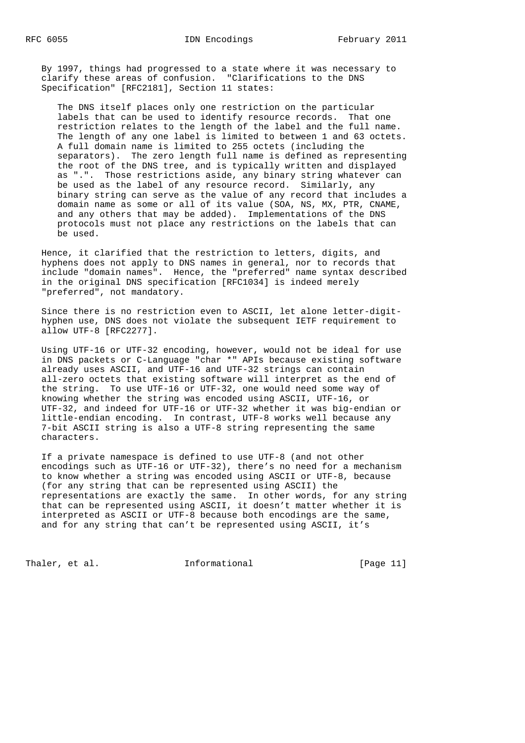By 1997, things had progressed to a state where it was necessary to clarify these areas of confusion. "Clarifications to the DNS Specification" [RFC2181], Section 11 states:

 The DNS itself places only one restriction on the particular labels that can be used to identify resource records. That one restriction relates to the length of the label and the full name. The length of any one label is limited to between 1 and 63 octets. A full domain name is limited to 255 octets (including the separators). The zero length full name is defined as representing the root of the DNS tree, and is typically written and displayed as ".". Those restrictions aside, any binary string whatever can be used as the label of any resource record. Similarly, any binary string can serve as the value of any record that includes a domain name as some or all of its value (SOA, NS, MX, PTR, CNAME, and any others that may be added). Implementations of the DNS protocols must not place any restrictions on the labels that can be used.

 Hence, it clarified that the restriction to letters, digits, and hyphens does not apply to DNS names in general, nor to records that include "domain names". Hence, the "preferred" name syntax described in the original DNS specification [RFC1034] is indeed merely "preferred", not mandatory.

 Since there is no restriction even to ASCII, let alone letter-digit hyphen use, DNS does not violate the subsequent IETF requirement to allow UTF-8 [RFC2277].

 Using UTF-16 or UTF-32 encoding, however, would not be ideal for use in DNS packets or C-Language "char \*" APIs because existing software already uses ASCII, and UTF-16 and UTF-32 strings can contain all-zero octets that existing software will interpret as the end of the string. To use UTF-16 or UTF-32, one would need some way of knowing whether the string was encoded using ASCII, UTF-16, or UTF-32, and indeed for UTF-16 or UTF-32 whether it was big-endian or little-endian encoding. In contrast, UTF-8 works well because any 7-bit ASCII string is also a UTF-8 string representing the same characters.

 If a private namespace is defined to use UTF-8 (and not other encodings such as UTF-16 or UTF-32), there's no need for a mechanism to know whether a string was encoded using ASCII or UTF-8, because (for any string that can be represented using ASCII) the representations are exactly the same. In other words, for any string that can be represented using ASCII, it doesn't matter whether it is interpreted as ASCII or UTF-8 because both encodings are the same, and for any string that can't be represented using ASCII, it's

Thaler, et al. The informational Thaler, et al.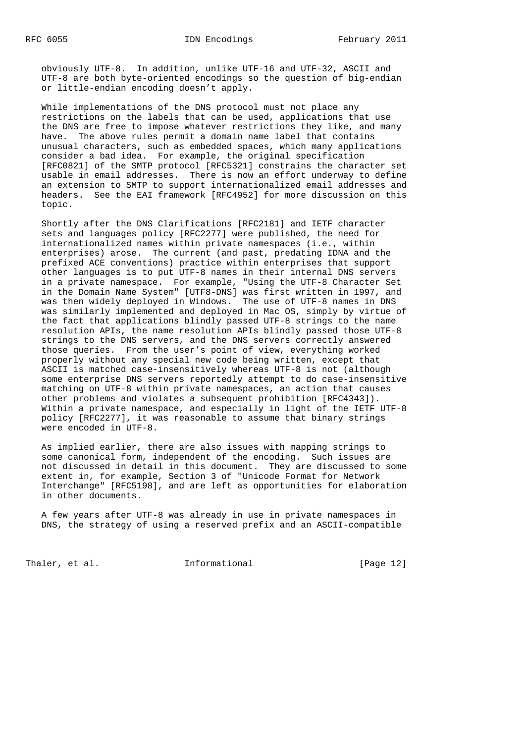obviously UTF-8. In addition, unlike UTF-16 and UTF-32, ASCII and UTF-8 are both byte-oriented encodings so the question of big-endian or little-endian encoding doesn't apply.

 While implementations of the DNS protocol must not place any restrictions on the labels that can be used, applications that use the DNS are free to impose whatever restrictions they like, and many have. The above rules permit a domain name label that contains unusual characters, such as embedded spaces, which many applications consider a bad idea. For example, the original specification [RFC0821] of the SMTP protocol [RFC5321] constrains the character set usable in email addresses. There is now an effort underway to define an extension to SMTP to support internationalized email addresses and headers. See the EAI framework [RFC4952] for more discussion on this topic.

 Shortly after the DNS Clarifications [RFC2181] and IETF character sets and languages policy [RFC2277] were published, the need for internationalized names within private namespaces (i.e., within enterprises) arose. The current (and past, predating IDNA and the prefixed ACE conventions) practice within enterprises that support other languages is to put UTF-8 names in their internal DNS servers in a private namespace. For example, "Using the UTF-8 Character Set in the Domain Name System" [UTF8-DNS] was first written in 1997, and was then widely deployed in Windows. The use of UTF-8 names in DNS was similarly implemented and deployed in Mac OS, simply by virtue of the fact that applications blindly passed UTF-8 strings to the name resolution APIs, the name resolution APIs blindly passed those UTF-8 strings to the DNS servers, and the DNS servers correctly answered those queries. From the user's point of view, everything worked properly without any special new code being written, except that ASCII is matched case-insensitively whereas UTF-8 is not (although some enterprise DNS servers reportedly attempt to do case-insensitive matching on UTF-8 within private namespaces, an action that causes other problems and violates a subsequent prohibition [RFC4343]). Within a private namespace, and especially in light of the IETF UTF-8 policy [RFC2277], it was reasonable to assume that binary strings were encoded in UTF-8.

 As implied earlier, there are also issues with mapping strings to some canonical form, independent of the encoding. Such issues are not discussed in detail in this document. They are discussed to some extent in, for example, Section 3 of "Unicode Format for Network Interchange" [RFC5198], and are left as opportunities for elaboration in other documents.

 A few years after UTF-8 was already in use in private namespaces in DNS, the strategy of using a reserved prefix and an ASCII-compatible

Thaler, et al. **Informational** [Page 12]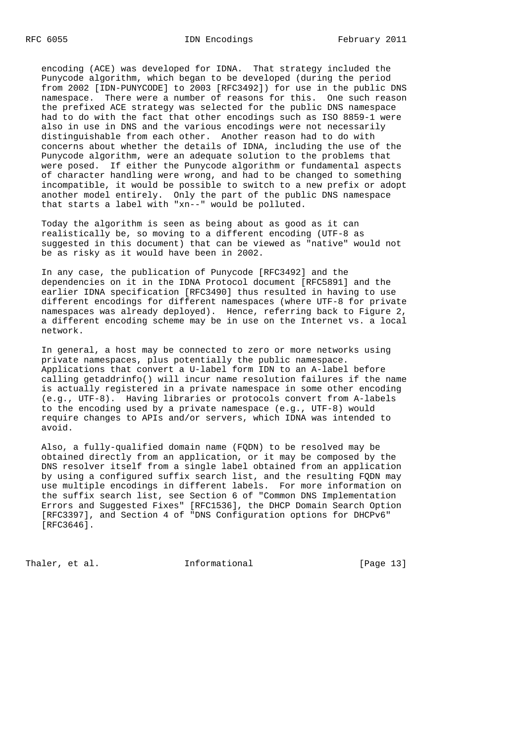encoding (ACE) was developed for IDNA. That strategy included the Punycode algorithm, which began to be developed (during the period from 2002 [IDN-PUNYCODE] to 2003 [RFC3492]) for use in the public DNS namespace. There were a number of reasons for this. One such reason the prefixed ACE strategy was selected for the public DNS namespace had to do with the fact that other encodings such as ISO 8859-1 were also in use in DNS and the various encodings were not necessarily distinguishable from each other. Another reason had to do with concerns about whether the details of IDNA, including the use of the Punycode algorithm, were an adequate solution to the problems that were posed. If either the Punycode algorithm or fundamental aspects of character handling were wrong, and had to be changed to something incompatible, it would be possible to switch to a new prefix or adopt another model entirely. Only the part of the public DNS namespace that starts a label with "xn--" would be polluted.

 Today the algorithm is seen as being about as good as it can realistically be, so moving to a different encoding (UTF-8 as suggested in this document) that can be viewed as "native" would not be as risky as it would have been in 2002.

 In any case, the publication of Punycode [RFC3492] and the dependencies on it in the IDNA Protocol document [RFC5891] and the earlier IDNA specification [RFC3490] thus resulted in having to use different encodings for different namespaces (where UTF-8 for private namespaces was already deployed). Hence, referring back to Figure 2, a different encoding scheme may be in use on the Internet vs. a local network.

 In general, a host may be connected to zero or more networks using private namespaces, plus potentially the public namespace. Applications that convert a U-label form IDN to an A-label before calling getaddrinfo() will incur name resolution failures if the name is actually registered in a private namespace in some other encoding (e.g., UTF-8). Having libraries or protocols convert from A-labels to the encoding used by a private namespace (e.g., UTF-8) would require changes to APIs and/or servers, which IDNA was intended to avoid.

 Also, a fully-qualified domain name (FQDN) to be resolved may be obtained directly from an application, or it may be composed by the DNS resolver itself from a single label obtained from an application by using a configured suffix search list, and the resulting FQDN may use multiple encodings in different labels. For more information on the suffix search list, see Section 6 of "Common DNS Implementation Errors and Suggested Fixes" [RFC1536], the DHCP Domain Search Option [RFC3397], and Section 4 of "DNS Configuration options for DHCPv6" [RFC3646].

Thaler, et al. 1nformational [Page 13]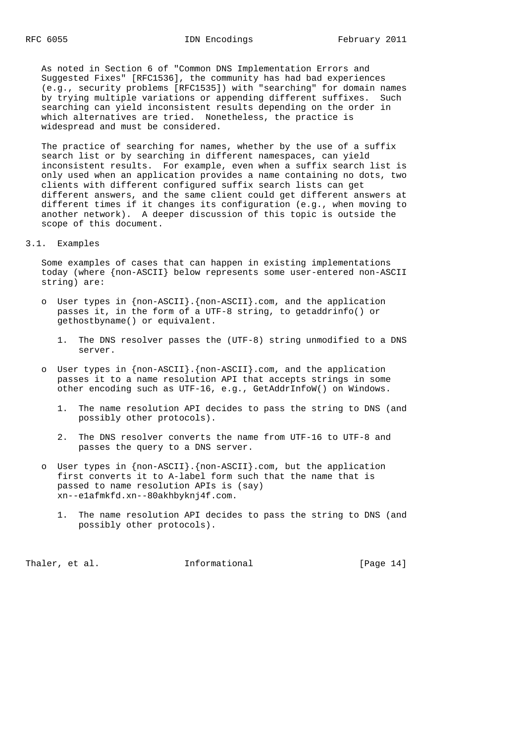As noted in Section 6 of "Common DNS Implementation Errors and Suggested Fixes" [RFC1536], the community has had bad experiences (e.g., security problems [RFC1535]) with "searching" for domain names by trying multiple variations or appending different suffixes. Such searching can yield inconsistent results depending on the order in which alternatives are tried. Nonetheless, the practice is widespread and must be considered.

 The practice of searching for names, whether by the use of a suffix search list or by searching in different namespaces, can yield inconsistent results. For example, even when a suffix search list is only used when an application provides a name containing no dots, two clients with different configured suffix search lists can get different answers, and the same client could get different answers at different times if it changes its configuration (e.g., when moving to another network). A deeper discussion of this topic is outside the scope of this document.

### 3.1. Examples

 Some examples of cases that can happen in existing implementations today (where {non-ASCII} below represents some user-entered non-ASCII string) are:

- o User types in  ${non-ASCII}$ .  ${non-ASCII}$ .com, and the application passes it, in the form of a UTF-8 string, to getaddrinfo() or gethostbyname() or equivalent.
	- 1. The DNS resolver passes the (UTF-8) string unmodified to a DNS server.
- o User types in {non-ASCII}.{non-ASCII}.com, and the application passes it to a name resolution API that accepts strings in some other encoding such as UTF-16, e.g., GetAddrInfoW() on Windows.
	- 1. The name resolution API decides to pass the string to DNS (and possibly other protocols).
	- 2. The DNS resolver converts the name from UTF-16 to UTF-8 and passes the query to a DNS server.
- o User types in {non-ASCII}.{non-ASCII}.com, but the application first converts it to A-label form such that the name that is passed to name resolution APIs is (say) xn--e1afmkfd.xn--80akhbyknj4f.com.
	- 1. The name resolution API decides to pass the string to DNS (and possibly other protocols).

Thaler, et al.  $I_n$  Informational [Page 14]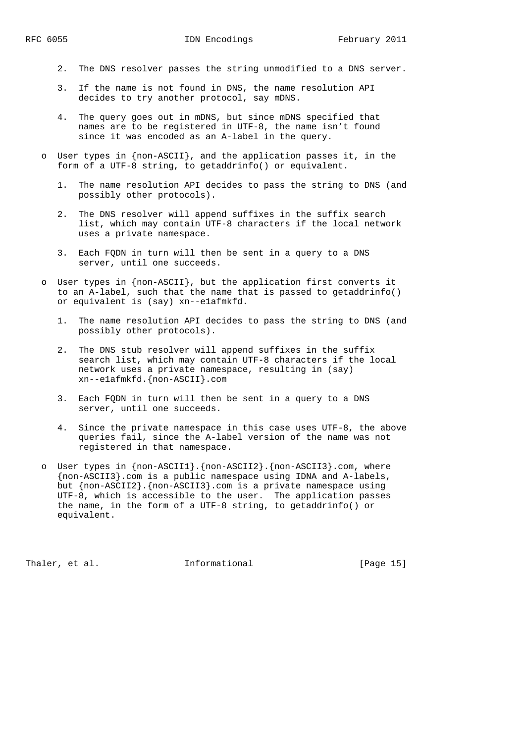- 2. The DNS resolver passes the string unmodified to a DNS server.
- 3. If the name is not found in DNS, the name resolution API decides to try another protocol, say mDNS.
- 4. The query goes out in mDNS, but since mDNS specified that names are to be registered in UTF-8, the name isn't found since it was encoded as an A-label in the query.
- User types in  ${non-ASCII}$ , and the application passes it, in the form of a UTF-8 string, to getaddrinfo() or equivalent.
	- 1. The name resolution API decides to pass the string to DNS (and possibly other protocols).
	- 2. The DNS resolver will append suffixes in the suffix search list, which may contain UTF-8 characters if the local network uses a private namespace.
	- 3. Each FQDN in turn will then be sent in a query to a DNS server, until one succeeds.
- o User types in {non-ASCII}, but the application first converts it to an A-label, such that the name that is passed to getaddrinfo() or equivalent is (say) xn--e1afmkfd.
	- 1. The name resolution API decides to pass the string to DNS (and possibly other protocols).
	- 2. The DNS stub resolver will append suffixes in the suffix search list, which may contain UTF-8 characters if the local network uses a private namespace, resulting in (say) xn--e1afmkfd.{non-ASCII}.com
	- 3. Each FQDN in turn will then be sent in a query to a DNS server, until one succeeds.
	- 4. Since the private namespace in this case uses UTF-8, the above queries fail, since the A-label version of the name was not registered in that namespace.
- o User types in {non-ASCII1}.{non-ASCII2}.{non-ASCII3}.com, where {non-ASCII3}.com is a public namespace using IDNA and A-labels, but {non-ASCII2}.{non-ASCII3}.com is a private namespace using UTF-8, which is accessible to the user. The application passes the name, in the form of a UTF-8 string, to getaddrinfo() or equivalent.

Thaler, et al. **Informational** [Page 15]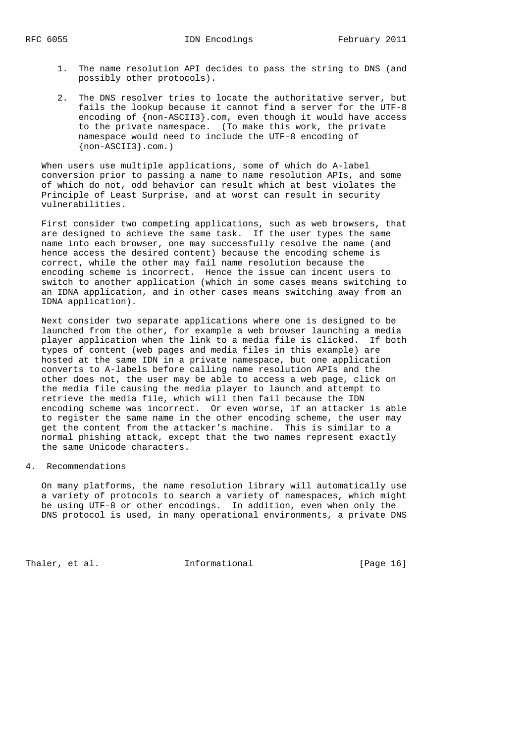- 1. The name resolution API decides to pass the string to DNS (and possibly other protocols).
- 2. The DNS resolver tries to locate the authoritative server, but fails the lookup because it cannot find a server for the UTF-8 encoding of {non-ASCII3}.com, even though it would have access to the private namespace. (To make this work, the private namespace would need to include the UTF-8 encoding of {non-ASCII3}.com.)

 When users use multiple applications, some of which do A-label conversion prior to passing a name to name resolution APIs, and some of which do not, odd behavior can result which at best violates the Principle of Least Surprise, and at worst can result in security vulnerabilities.

 First consider two competing applications, such as web browsers, that are designed to achieve the same task. If the user types the same name into each browser, one may successfully resolve the name (and hence access the desired content) because the encoding scheme is correct, while the other may fail name resolution because the encoding scheme is incorrect. Hence the issue can incent users to switch to another application (which in some cases means switching to an IDNA application, and in other cases means switching away from an IDNA application).

 Next consider two separate applications where one is designed to be launched from the other, for example a web browser launching a media player application when the link to a media file is clicked. If both types of content (web pages and media files in this example) are hosted at the same IDN in a private namespace, but one application converts to A-labels before calling name resolution APIs and the other does not, the user may be able to access a web page, click on the media file causing the media player to launch and attempt to retrieve the media file, which will then fail because the IDN encoding scheme was incorrect. Or even worse, if an attacker is able to register the same name in the other encoding scheme, the user may get the content from the attacker's machine. This is similar to a normal phishing attack, except that the two names represent exactly the same Unicode characters.

## 4. Recommendations

 On many platforms, the name resolution library will automatically use a variety of protocols to search a variety of namespaces, which might be using UTF-8 or other encodings. In addition, even when only the DNS protocol is used, in many operational environments, a private DNS

Thaler, et al. The Informational Thaler, et al.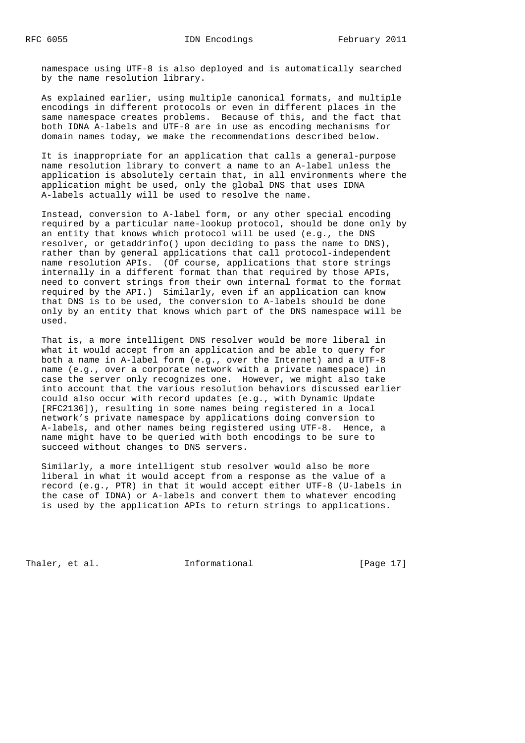namespace using UTF-8 is also deployed and is automatically searched by the name resolution library.

 As explained earlier, using multiple canonical formats, and multiple encodings in different protocols or even in different places in the same namespace creates problems. Because of this, and the fact that both IDNA A-labels and UTF-8 are in use as encoding mechanisms for domain names today, we make the recommendations described below.

 It is inappropriate for an application that calls a general-purpose name resolution library to convert a name to an A-label unless the application is absolutely certain that, in all environments where the application might be used, only the global DNS that uses IDNA A-labels actually will be used to resolve the name.

 Instead, conversion to A-label form, or any other special encoding required by a particular name-lookup protocol, should be done only by an entity that knows which protocol will be used (e.g., the DNS resolver, or getaddrinfo() upon deciding to pass the name to DNS), rather than by general applications that call protocol-independent name resolution APIs. (Of course, applications that store strings internally in a different format than that required by those APIs, need to convert strings from their own internal format to the format required by the API.) Similarly, even if an application can know that DNS is to be used, the conversion to A-labels should be done only by an entity that knows which part of the DNS namespace will be used.

 That is, a more intelligent DNS resolver would be more liberal in what it would accept from an application and be able to query for both a name in A-label form (e.g., over the Internet) and a UTF-8 name (e.g., over a corporate network with a private namespace) in case the server only recognizes one. However, we might also take into account that the various resolution behaviors discussed earlier could also occur with record updates (e.g., with Dynamic Update [RFC2136]), resulting in some names being registered in a local network's private namespace by applications doing conversion to A-labels, and other names being registered using UTF-8. Hence, a name might have to be queried with both encodings to be sure to succeed without changes to DNS servers.

 Similarly, a more intelligent stub resolver would also be more liberal in what it would accept from a response as the value of a record (e.g., PTR) in that it would accept either UTF-8 (U-labels in the case of IDNA) or A-labels and convert them to whatever encoding is used by the application APIs to return strings to applications.

Thaler, et al. **Informational** [Page 17]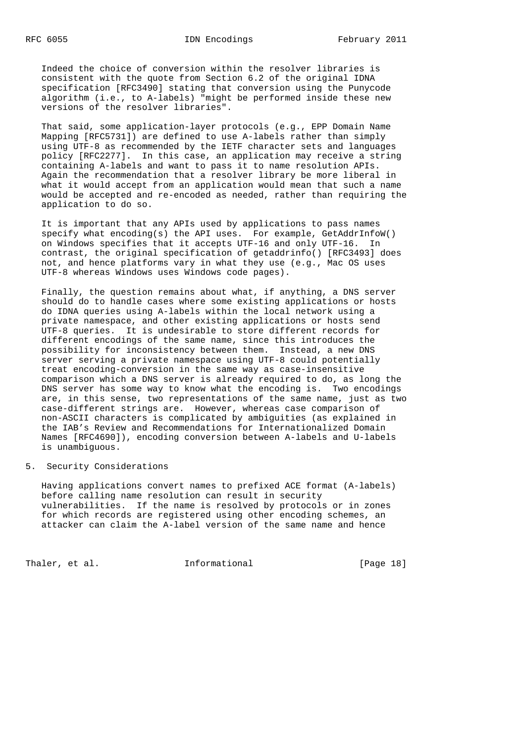Indeed the choice of conversion within the resolver libraries is consistent with the quote from Section 6.2 of the original IDNA specification [RFC3490] stating that conversion using the Punycode algorithm (i.e., to A-labels) "might be performed inside these new versions of the resolver libraries".

 That said, some application-layer protocols (e.g., EPP Domain Name Mapping [RFC5731]) are defined to use A-labels rather than simply using UTF-8 as recommended by the IETF character sets and languages policy [RFC2277]. In this case, an application may receive a string containing A-labels and want to pass it to name resolution APIs. Again the recommendation that a resolver library be more liberal in what it would accept from an application would mean that such a name would be accepted and re-encoded as needed, rather than requiring the application to do so.

 It is important that any APIs used by applications to pass names specify what encoding(s) the API uses. For example, GetAddrInfoW() on Windows specifies that it accepts UTF-16 and only UTF-16. In contrast, the original specification of getaddrinfo() [RFC3493] does not, and hence platforms vary in what they use (e.g., Mac OS uses UTF-8 whereas Windows uses Windows code pages).

 Finally, the question remains about what, if anything, a DNS server should do to handle cases where some existing applications or hosts do IDNA queries using A-labels within the local network using a private namespace, and other existing applications or hosts send UTF-8 queries. It is undesirable to store different records for different encodings of the same name, since this introduces the possibility for inconsistency between them. Instead, a new DNS server serving a private namespace using UTF-8 could potentially treat encoding-conversion in the same way as case-insensitive comparison which a DNS server is already required to do, as long the DNS server has some way to know what the encoding is. Two encodings are, in this sense, two representations of the same name, just as two case-different strings are. However, whereas case comparison of non-ASCII characters is complicated by ambiguities (as explained in the IAB's Review and Recommendations for Internationalized Domain Names [RFC4690]), encoding conversion between A-labels and U-labels is unambiguous.

# 5. Security Considerations

 Having applications convert names to prefixed ACE format (A-labels) before calling name resolution can result in security vulnerabilities. If the name is resolved by protocols or in zones for which records are registered using other encoding schemes, an attacker can claim the A-label version of the same name and hence

Thaler, et al. The Informational Thaler, et al.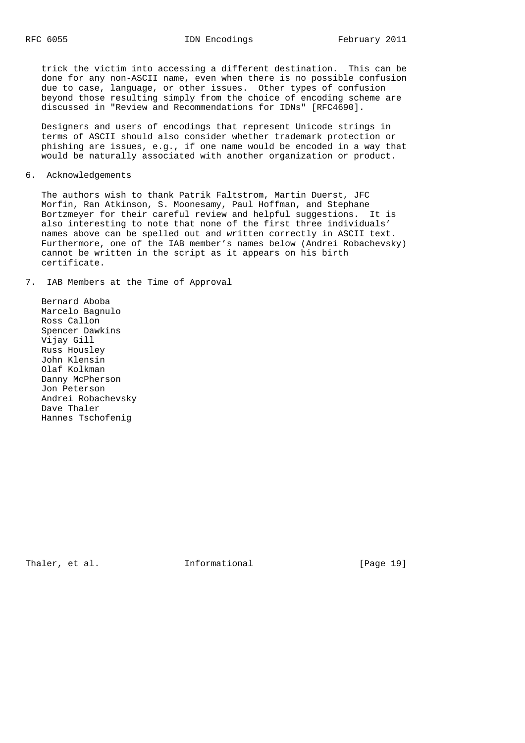trick the victim into accessing a different destination. This can be done for any non-ASCII name, even when there is no possible confusion due to case, language, or other issues. Other types of confusion beyond those resulting simply from the choice of encoding scheme are discussed in "Review and Recommendations for IDNs" [RFC4690].

 Designers and users of encodings that represent Unicode strings in terms of ASCII should also consider whether trademark protection or phishing are issues, e.g., if one name would be encoded in a way that would be naturally associated with another organization or product.

6. Acknowledgements

 The authors wish to thank Patrik Faltstrom, Martin Duerst, JFC Morfin, Ran Atkinson, S. Moonesamy, Paul Hoffman, and Stephane Bortzmeyer for their careful review and helpful suggestions. It is also interesting to note that none of the first three individuals' names above can be spelled out and written correctly in ASCII text. Furthermore, one of the IAB member's names below (Andrei Robachevsky) cannot be written in the script as it appears on his birth certificate.

7. IAB Members at the Time of Approval

 Bernard Aboba Marcelo Bagnulo Ross Callon Spencer Dawkins Vijay Gill Russ Housley John Klensin Olaf Kolkman Danny McPherson Jon Peterson Andrei Robachevsky Dave Thaler Hannes Tschofenig

Thaler, et al.  $I_n$  Informational [Page 19]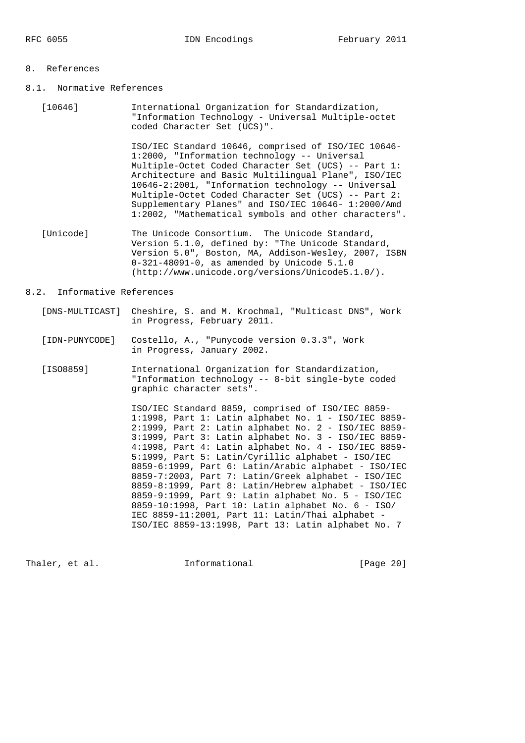### 8. References

- 8.1. Normative References
	- [10646] International Organization for Standardization, "Information Technology - Universal Multiple-octet coded Character Set (UCS)".

 ISO/IEC Standard 10646, comprised of ISO/IEC 10646- 1:2000, "Information technology -- Universal Multiple-Octet Coded Character Set (UCS) -- Part 1: Architecture and Basic Multilingual Plane", ISO/IEC 10646-2:2001, "Information technology -- Universal Multiple-Octet Coded Character Set (UCS) -- Part 2: Supplementary Planes" and ISO/IEC 10646- 1:2000/Amd 1:2002, "Mathematical symbols and other characters".

 [Unicode] The Unicode Consortium. The Unicode Standard, Version 5.1.0, defined by: "The Unicode Standard, Version 5.0", Boston, MA, Addison-Wesley, 2007, ISBN 0-321-48091-0, as amended by Unicode 5.1.0 (http://www.unicode.org/versions/Unicode5.1.0/).

### 8.2. Informative References

- [DNS-MULTICAST] Cheshire, S. and M. Krochmal, "Multicast DNS", Work in Progress, February 2011.
- [IDN-PUNYCODE] Costello, A., "Punycode version 0.3.3", Work in Progress, January 2002.
- [ISO8859] International Organization for Standardization, "Information technology -- 8-bit single-byte coded graphic character sets".

 ISO/IEC Standard 8859, comprised of ISO/IEC 8859- 1:1998, Part 1: Latin alphabet No. 1 - ISO/IEC 8859- 2:1999, Part 2: Latin alphabet No. 2 - ISO/IEC 8859- 3:1999, Part 3: Latin alphabet No. 3 - ISO/IEC 8859- 4:1998, Part 4: Latin alphabet No. 4 - ISO/IEC 8859- 5:1999, Part 5: Latin/Cyrillic alphabet - ISO/IEC 8859-6:1999, Part 6: Latin/Arabic alphabet - ISO/IEC 8859-7:2003, Part 7: Latin/Greek alphabet - ISO/IEC 8859-8:1999, Part 8: Latin/Hebrew alphabet - ISO/IEC 8859-9:1999, Part 9: Latin alphabet No. 5 - ISO/IEC 8859-10:1998, Part 10: Latin alphabet No. 6 - ISO/ IEC 8859-11:2001, Part 11: Latin/Thai alphabet - ISO/IEC 8859-13:1998, Part 13: Latin alphabet No. 7

Thaler, et al. **Informational** [Page 20]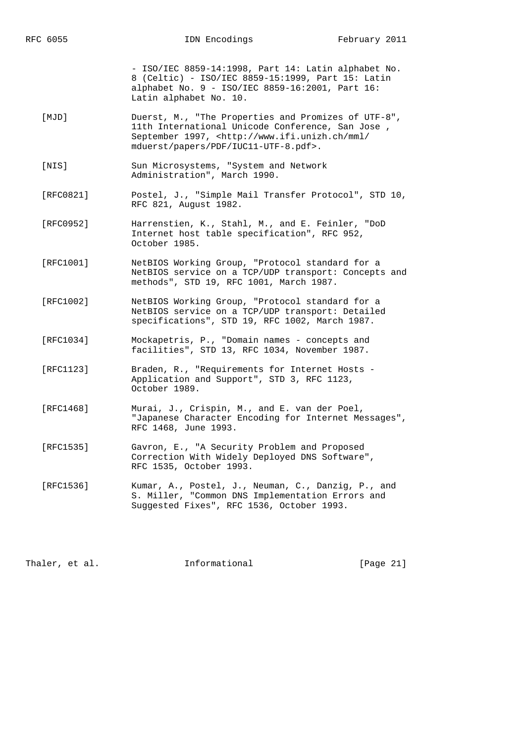- ISO/IEC 8859-14:1998, Part 14: Latin alphabet No. 8 (Celtic) - ISO/IEC 8859-15:1999, Part 15: Latin alphabet No. 9 - ISO/IEC 8859-16:2001, Part 16: Latin alphabet No. 10.

- [MJD] Duerst, M., "The Properties and Promizes of UTF-8", 11th International Unicode Conference, San Jose , September 1997, <http://www.ifi.unizh.ch/mml/ mduerst/papers/PDF/IUC11-UTF-8.pdf>.
- [NIS] Sun Microsystems, "System and Network Administration", March 1990.
- [RFC0821] Postel, J., "Simple Mail Transfer Protocol", STD 10, RFC 821, August 1982.
- [RFC0952] Harrenstien, K., Stahl, M., and E. Feinler, "DoD Internet host table specification", RFC 952, October 1985.
- [RFC1001] NetBIOS Working Group, "Protocol standard for a NetBIOS service on a TCP/UDP transport: Concepts and methods", STD 19, RFC 1001, March 1987.
- [RFC1002] NetBIOS Working Group, "Protocol standard for a NetBIOS service on a TCP/UDP transport: Detailed specifications", STD 19, RFC 1002, March 1987.
- [RFC1034] Mockapetris, P., "Domain names concepts and facilities", STD 13, RFC 1034, November 1987.
- [RFC1123] Braden, R., "Requirements for Internet Hosts Application and Support", STD 3, RFC 1123, October 1989.
- [RFC1468] Murai, J., Crispin, M., and E. van der Poel, "Japanese Character Encoding for Internet Messages", RFC 1468, June 1993.
- [RFC1535] Gavron, E., "A Security Problem and Proposed Correction With Widely Deployed DNS Software", RFC 1535, October 1993.
- [RFC1536] Kumar, A., Postel, J., Neuman, C., Danzig, P., and S. Miller, "Common DNS Implementation Errors and Suggested Fixes", RFC 1536, October 1993.

Thaler, et al. **Informational** [Page 21]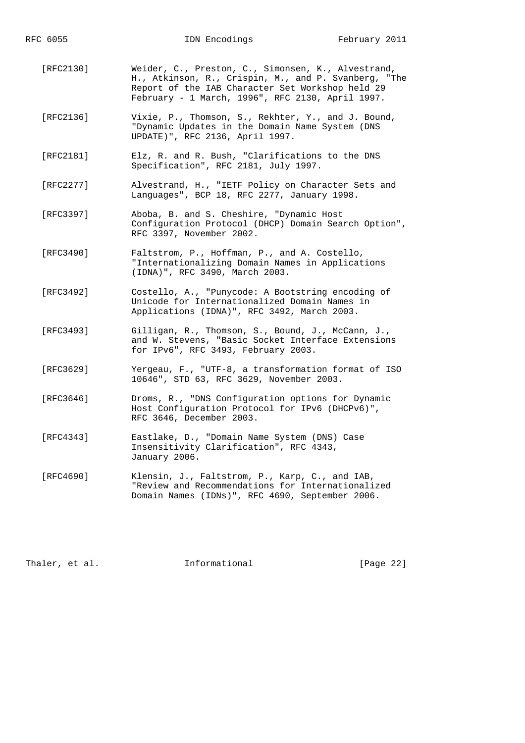- [RFC2130] Weider, C., Preston, C., Simonsen, K., Alvestrand, H., Atkinson, R., Crispin, M., and P. Svanberg, "The Report of the IAB Character Set Workshop held 29 February - 1 March, 1996", RFC 2130, April 1997.
- [RFC2136] Vixie, P., Thomson, S., Rekhter, Y., and J. Bound, "Dynamic Updates in the Domain Name System (DNS UPDATE)", RFC 2136, April 1997.
- [RFC2181] Elz, R. and R. Bush, "Clarifications to the DNS Specification", RFC 2181, July 1997.
- [RFC2277] Alvestrand, H., "IETF Policy on Character Sets and Languages", BCP 18, RFC 2277, January 1998.
- [RFC3397] Aboba, B. and S. Cheshire, "Dynamic Host Configuration Protocol (DHCP) Domain Search Option", RFC 3397, November 2002.
- [RFC3490] Faltstrom, P., Hoffman, P., and A. Costello, "Internationalizing Domain Names in Applications (IDNA)", RFC 3490, March 2003.
- [RFC3492] Costello, A., "Punycode: A Bootstring encoding of Unicode for Internationalized Domain Names in Applications (IDNA)", RFC 3492, March 2003.
- [RFC3493] Gilligan, R., Thomson, S., Bound, J., McCann, J., and W. Stevens, "Basic Socket Interface Extensions for IPv6", RFC 3493, February 2003.
- [RFC3629] Yergeau, F., "UTF-8, a transformation format of ISO 10646", STD 63, RFC 3629, November 2003.
- [RFC3646] Droms, R., "DNS Configuration options for Dynamic Host Configuration Protocol for IPv6 (DHCPv6)", RFC 3646, December 2003.
- [RFC4343] Eastlake, D., "Domain Name System (DNS) Case Insensitivity Clarification", RFC 4343, January 2006.
- [RFC4690] Klensin, J., Faltstrom, P., Karp, C., and IAB, "Review and Recommendations for Internationalized Domain Names (IDNs)", RFC 4690, September 2006.

Thaler, et al. **Informational** [Page 22]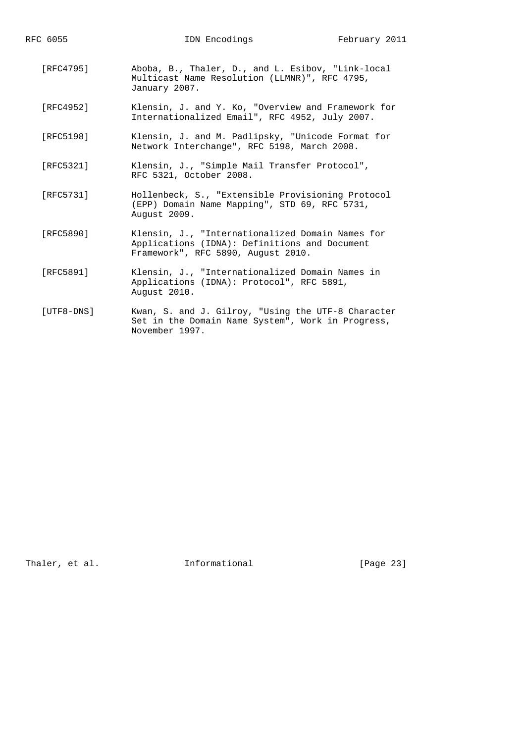- [RFC4795] Aboba, B., Thaler, D., and L. Esibov, "Link-local Multicast Name Resolution (LLMNR)", RFC 4795, January 2007.
- [RFC4952] Klensin, J. and Y. Ko, "Overview and Framework for Internationalized Email", RFC 4952, July 2007.
- [RFC5198] Klensin, J. and M. Padlipsky, "Unicode Format for Network Interchange", RFC 5198, March 2008.
- [RFC5321] Klensin, J., "Simple Mail Transfer Protocol", RFC 5321, October 2008.
- [RFC5731] Hollenbeck, S., "Extensible Provisioning Protocol (EPP) Domain Name Mapping", STD 69, RFC 5731, August 2009.
- [RFC5890] Klensin, J., "Internationalized Domain Names for Applications (IDNA): Definitions and Document Framework", RFC 5890, August 2010.
- [RFC5891] Klensin, J., "Internationalized Domain Names in Applications (IDNA): Protocol", RFC 5891, August 2010.
- [UTF8-DNS] Kwan, S. and J. Gilroy, "Using the UTF-8 Character Set in the Domain Name System", Work in Progress, November 1997.

Thaler, et al. **Informational** [Page 23]